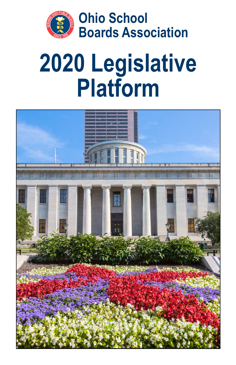

# **2020 Legislative Platform**

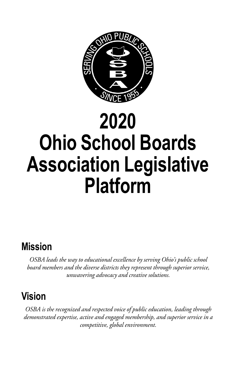

# **2020 Ohio School Boards Association Legislative Platform**

## **Mission**

*OSBA leads the way to educational excellence by serving Ohio's public school board members and the diverse districts they represent through superior service, unwavering advocacy and creative solutions.*

# **Vision**

*OSBA is the recognized and respected voice of public education, leading through demonstrated expertise, active and engaged membership, and superior service in a competitive, global environment.*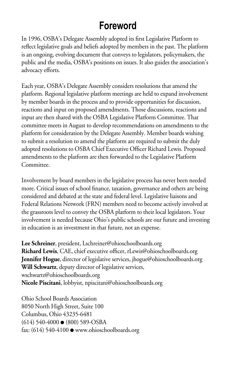# **Foreword**

In 1996, OSBA's Delegate Assembly adopted its first Legislative Platform to reflect legislative goals and beliefs adopted by members in the past. The platform is an ongoing, evolving document that conveys to legislators, policymakers, the public and the media, OSBA's positions on issues. It also guides the association's advocacy efforts.

Each year, OSBA's Delegate Assembly considers resolutions that amend the platform. Regional legislative platform meetings are held to expand involvement by member boards in the process and to provide opportunities for discussion, reactions and input on proposed amendments. Those discussions, reactions and input are then shared with the OSBA Legislative Platform Committee. That committee meets in August to develop recommendations on amendments to the platform for consideration by the Delegate Assembly. Member boards wishing to submit a resolution to amend the platform are required to submit the duly adopted resolutions to OSBA Chief Executive Officer Richard Lewis. Proposed amendments to the platform are then forwarded to the Legislative Platform Committee.

Involvement by board members in the legislative process has never been needed more. Critical issues of school finance, taxation, governance and others are being considered and debated at the state and federal level. Legislative liaisons and Federal Relations Network (FRN) members need to become actively involved at the grassroots level to convey the OSBA platform to their local legislators. Your involvement is needed because Ohio's public schools are our future and investing in education is an investment in that future, not an expense.

**Lee Schreiner**, president, Lschreiner@ohioschoolboards.org **Richard Lewis**, CAE, chief executive officer, rLewis@ohioschoolboards.org **Jennifer Hogue**, director of legislative services, jhogue@ohioschoolboards.org **Will Schwartz**, deputy director of legislative services, wschwartz@ohioschoolboards.org **Nicole Piscitani**, lobbyist, npiscitani@ohioschoolboards.org

Ohio School Boards Association 8050 North High Street, Suite 100 Columbus, Ohio 43235-6481  $(614)$  540-4000  $\bullet$  (800) 589-OSBA fax:  $(614)$  540-4100  $\bullet$  www.ohioschoolboards.org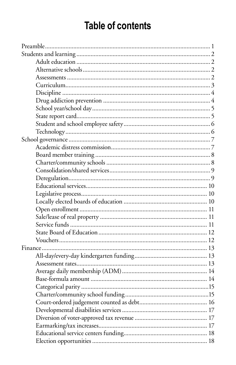# **Table of contents**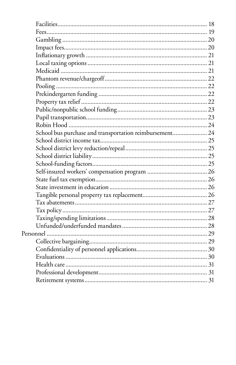| School bus purchase and transportation reimbursement 24 |  |
|---------------------------------------------------------|--|
|                                                         |  |
|                                                         |  |
|                                                         |  |
|                                                         |  |
|                                                         |  |
|                                                         |  |
|                                                         |  |
|                                                         |  |
|                                                         |  |
|                                                         |  |
|                                                         |  |
|                                                         |  |
|                                                         |  |
|                                                         |  |
|                                                         |  |
|                                                         |  |
|                                                         |  |
|                                                         |  |
|                                                         |  |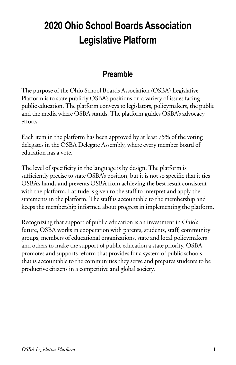# **2020 Ohio School Boards Association Legislative Platform**

### **Preamble**

The purpose of the Ohio School Boards Association (OSBA) Legislative Platform is to state publicly OSBA's positions on a variety of issues facing public education. The platform conveys to legislators, policymakers, the public and the media where OSBA stands. The platform guides OSBA's advocacy efforts.

Each item in the platform has been approved by at least 75% of the voting delegates in the OSBA Delegate Assembly, where every member board of education has a vote.

The level of specificity in the language is by design. The platform is sufficiently precise to state OSBA's position, but it is not so specific that it ties OSBA's hands and prevents OSBA from achieving the best result consistent with the platform. Latitude is given to the staff to interpret and apply the statements in the platform. The staff is accountable to the membership and keeps the membership informed about progress in implementing the platform.

Recognizing that support of public education is an investment in Ohio's future, OSBA works in cooperation with parents, students, staff, community groups, members of educational organizations, state and local policymakers and others to make the support of public education a state priority. OSBA promotes and supports reform that provides for a system of public schools that is accountable to the communities they serve and prepares students to be productive citizens in a competitive and global society.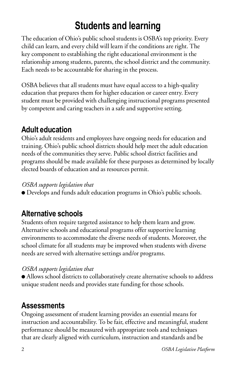# **Students and learning**

The education of Ohio's public school students is OSBA's top priority. Every child can learn, and every child will learn if the conditions are right. The key component to establishing the right educational environment is the relationship among students, parents, the school district and the community. Each needs to be accountable for sharing in the process.

OSBA believes that all students must have equal access to a high-quality education that prepares them for higher education or career entry. Every student must be provided with challenging instructional programs presented by competent and caring teachers in a safe and supportive setting.

### **Adult education**

Ohio's adult residents and employees have ongoing needs for education and training. Ohio's public school districts should help meet the adult education needs of the communities they serve. Public school district facilities and programs should be made available for these purposes as determined by locally elected boards of education and as resources permit.

#### *OSBA supports legislation that*

● Develops and funds adult education programs in Ohio's public schools.

### **Alternative schools**

Students often require targeted assistance to help them learn and grow. Alternative schools and educational programs offer supportive learning environments to accommodate the diverse needs of students. Moreover, the school climate for all students may be improved when students with diverse needs are served with alternative settings and/or programs.

#### *OSBA supports legislation that*

● Allows school districts to collaboratively create alternative schools to address unique student needs and provides state funding for those schools.

### **Assessments**

Ongoing assessment of student learning provides an essential means for instruction and accountability. To be fair, effective and meaningful, student performance should be measured with appropriate tools and techniques that are clearly aligned with curriculum, instruction and standards and be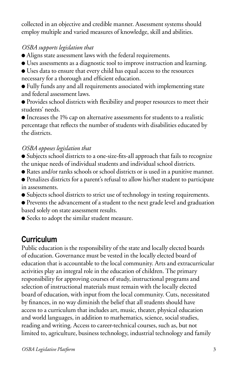collected in an objective and credible manner. Assessment systems should employ multiple and varied measures of knowledge, skill and abilities.

#### *OSBA supports legislation that*

- Aligns state assessment laws with the federal requirements.
- Uses assessments as a diagnostic tool to improve instruction and learning.
- Uses data to ensure that every child has equal access to the resources necessary for a thorough and efficient education.
- Fully funds any and all requirements associated with implementing state and federal assessment laws.
- Provides school districts with flexibility and proper resources to meet their students' needs.

● Increases the 1% cap on alternative assessments for students to a realistic percentage that reflects the number of students with disabilities educated by the districts.

#### *OSBA opposes legislation that*

- Subjects school districts to a one-size-fits-all approach that fails to recognize the unique needs of individual students and individual school districts.
- Rates and/or ranks schools or school districts or is used in a punitive manner.
- Penalizes districts for a parent's refusal to allow his/her student to participate in assessments.
- Subjects school districts to strict use of technology in testing requirements.
- Prevents the advancement of a student to the next grade level and graduation based solely on state assessment results.
- Seeks to adopt the similar student measure.

### **Curriculum**

Public education is the responsibility of the state and locally elected boards of education. Governance must be vested in the locally elected board of education that is accountable to the local community. Arts and extracurricular activities play an integral role in the education of children. The primary responsibility for approving courses of study, instructional programs and selection of instructional materials must remain with the locally elected board of education, with input from the local community. Cuts, necessitated by finances, in no way diminish the belief that all students should have access to a curriculum that includes art, music, theater, physical education and world languages, in addition to mathematics, science, social studies, reading and writing. Access to career-technical courses, such as, but not limited to, agriculture, business technology, industrial technology and family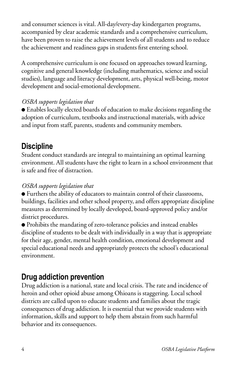and consumer sciences is vital. All-day/every-day kindergarten programs, accompanied by clear academic standards and a comprehensive curriculum, have been proven to raise the achievement levels of all students and to reduce the achievement and readiness gaps in students first entering school.

A comprehensive curriculum is one focused on approaches toward learning, cognitive and general knowledge (including mathematics, science and social studies), language and literacy development, arts, physical well-being, motor development and social-emotional development.

#### *OSBA supports legislation that*

● Enables locally elected boards of education to make decisions regarding the adoption of curriculum, textbooks and instructional materials, with advice and input from staff, parents, students and community members.

### **Discipline**

Student conduct standards are integral to maintaining an optimal learning environment. All students have the right to learn in a school environment that is safe and free of distraction.

#### *OSBA supports legislation that*

● Furthers the ability of educators to maintain control of their classrooms, buildings, facilities and other school property, and offers appropriate discipline measures as determined by locally developed, board-approved policy and/or district procedures.

● Prohibits the mandating of zero-tolerance policies and instead enables discipline of students to be dealt with individually in a way that is appropriate for their age, gender, mental health condition, emotional development and special educational needs and appropriately protects the school's educational environment.

### **Drug addiction prevention**

Drug addiction is a national, state and local crisis. The rate and incidence of heroin and other opioid abuse among Ohioans is staggering. Local school districts are called upon to educate students and families about the tragic consequences of drug addiction. It is essential that we provide students with information, skills and support to help them abstain from such harmful behavior and its consequences.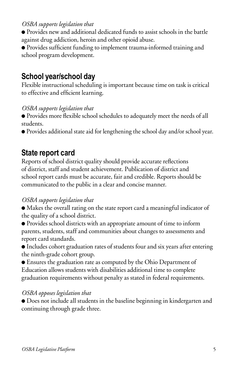#### *OSBA supports legislation that*

● Provides new and additional dedicated funds to assist schools in the battle against drug addiction, heroin and other opioid abuse.

● Provides sufficient funding to implement trauma-informed training and school program development.

### **School year/school day**

Flexible instructional scheduling is important because time on task is critical to effective and efficient learning.

#### *OSBA supports legislation that*

● Provides more flexible school schedules to adequately meet the needs of all students.

● Provides additional state aid for lengthening the school day and/or school year.

### **State report card**

Reports of school district quality should provide accurate reflections of district, staff and student achievement. Publication of district and school report cards must be accurate, fair and credible. Reports should be communicated to the public in a clear and concise manner.

#### *OSBA supports legislation that*

● Makes the overall rating on the state report card a meaningful indicator of the quality of a school district.

● Provides school districts with an appropriate amount of time to inform parents, students, staff and communities about changes to assessments and report card standards.

● Includes cohort graduation rates of students four and six years after entering the ninth-grade cohort group.

● Ensures the graduation rate as computed by the Ohio Department of Education allows students with disabilities additional time to complete graduation requirements without penalty as stated in federal requirements.

#### *OSBA opposes legislation that*

● Does not include all students in the baseline beginning in kindergarten and continuing through grade three.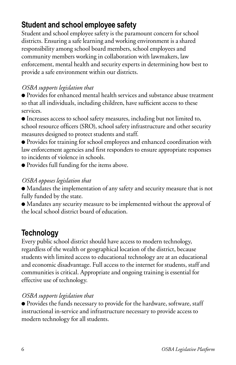### **Student and school employee safety**

Student and school employee safety is the paramount concern for school districts. Ensuring a safe learning and working environment is a shared responsibility among school board members, school employees and community members working in collaboration with lawmakers, law enforcement, mental health and security experts in determining how best to provide a safe environment within our districts.

### *OSBA supports legislation that*

● Provides for enhanced mental health services and substance abuse treatment so that all individuals, including children, have sufficient access to these services.

● Increases access to school safety measures, including but not limited to, school resource officers (SRO), school safety infrastructure and other security measures designed to protect students and staff.

● Provides for training for school employees and enhanced coordination with law enforcement agencies and first responders to ensure appropriate responses to incidents of violence in schools.

● Provides full funding for the items above.

#### *OSBA opposes legislation that*

● Mandates the implementation of any safety and security measure that is not fully funded by the state.

● Mandates any security measure to be implemented without the approval of the local school district board of education.

### **Technology**

Every public school district should have access to modern technology, regardless of the wealth or geographical location of the district, because students with limited access to educational technology are at an educational and economic disadvantage. Full access to the internet for students, staff and communities is critical. Appropriate and ongoing training is essential for effective use of technology.

### *OSBA supports legislation that*

● Provides the funds necessary to provide for the hardware, software, staff instructional in-service and infrastructure necessary to provide access to modern technology for all students.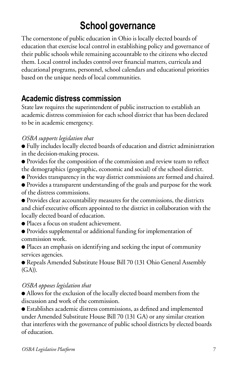# **School governance**

The cornerstone of public education in Ohio is locally elected boards of education that exercise local control in establishing policy and governance of their public schools while remaining accountable to the citizens who elected them. Local control includes control over financial matters, curricula and educational programs, personnel, school calendars and educational priorities based on the unique needs of local communities.

### **Academic distress commission**

State law requires the superintendent of public instruction to establish an academic distress commission for each school district that has been declared to be in academic emergency.

### *OSBA supports legislation that*

- Fully includes locally elected boards of education and district administration in the decision-making process.
- Provides for the composition of the commission and review team to reflect the demographics (geographic, economic and social) of the school district.
- Provides transparency in the way district commissions are formed and chaired.
- Provides a transparent understanding of the goals and purpose for the work of the distress commissions.
- Provides clear accountability measures for the commissions, the districts and chief executive officers appointed to the district in collaboration with the locally elected board of education.
- Places a focus on student achievement.
- Provides supplemental or additional funding for implementation of commission work.
- Places an emphasis on identifying and seeking the input of community services agencies.

● Repeals Amended Substitute House Bill 70 (131 Ohio General Assembly (GA)).

#### *OSBA opposes legislation that*

● Allows for the exclusion of the locally elected board members from the discussion and work of the commission.

● Establishes academic distress commissions, as defined and implemented under Amended Substitute House Bill 70 (131 GA) or any similar creation that interferes with the governance of public school districts by elected boards of education.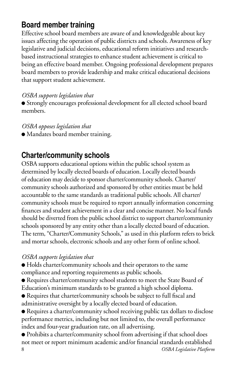### **Board member training**

Effective school board members are aware of and knowledgeable about key issues affecting the operation of public districts and schools. Awareness of key legislative and judicial decisions, educational reform initiatives and researchbased instructional strategies to enhance student achievement is critical to being an effective board member. Ongoing professional development prepares board members to provide leadership and make critical educational decisions that support student achievement.

#### *OSBA supports legislation that*

● Strongly encourages professional development for all elected school board members.

#### *OSBA opposes legislation that*

● Mandates board member training.

### **Charter/community schools**

OSBA supports educational options within the public school system as determined by locally elected boards of education. Locally elected boards of education may decide to sponsor charter/community schools. Charter/ community schools authorized and sponsored by other entities must be held accountable to the same standards as traditional public schools. All charter/ community schools must be required to report annually information concerning finances and student achievement in a clear and concise manner. No local funds should be diverted from the public school district to support charter/community schools sponsored by any entity other than a locally elected board of education. The term, "Charter/Community Schools," as used in this platform refers to brick and mortar schools, electronic schools and any other form of online school.

#### *OSBA supports legislation that*

● Holds charter/community schools and their operators to the same compliance and reporting requirements as public schools.

● Requires charter/community school students to meet the State Board of Education's minimum standards to be granted a high school diploma.

● Requires that charter/community schools be subject to full fiscal and administrative oversight by a locally elected board of education.

● Requires a charter/community school receiving public tax dollars to disclose performance metrics, including but not limited to, the overall performance index and four-year graduation rate, on all advertising.

8 *OSBA Legislative Platform* ● Prohibits a charter/community school from advertising if that school does not meet or report minimum academic and/or financial standards established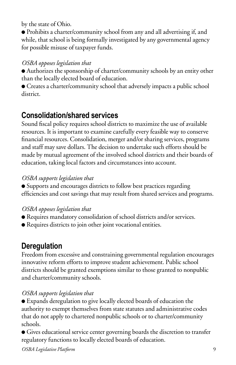by the state of Ohio.

● Prohibits a charter/community school from any and all advertising if, and while, that school is being formally investigated by any governmental agency for possible misuse of taxpayer funds.

### *OSBA opposes legislation that*

● Authorizes the sponsorship of charter/community schools by an entity other than the locally elected board of education.

● Creates a charter/community school that adversely impacts a public school district.

### **Consolidation/shared services**

Sound fiscal policy requires school districts to maximize the use of available resources. It is important to examine carefully every feasible way to conserve financial resources. Consolidation, merger and/or sharing services, programs and staff may save dollars. The decision to undertake such efforts should be made by mutual agreement of the involved school districts and their boards of education, taking local factors and circumstances into account.

### *OSBA supports legislation that*

● Supports and encourages districts to follow best practices regarding efficiencies and cost savings that may result from shared services and programs.

### *OSBA opposes legislation that*

- Requires mandatory consolidation of school districts and/or services.
- Requires districts to join other joint vocational entities.

### **Deregulation**

Freedom from excessive and constraining governmental regulation encourages innovative reform efforts to improve student achievement. Public school districts should be granted exemptions similar to those granted to nonpublic and charter/community schools.

### *OSBA supports legislation that*

● Expands deregulation to give locally elected boards of education the authority to exempt themselves from state statutes and administrative codes that do not apply to chartered nonpublic schools or to charter/community schools.

● Gives educational service center governing boards the discretion to transfer regulatory functions to locally elected boards of education.

*OSBA Legislative Platform* 9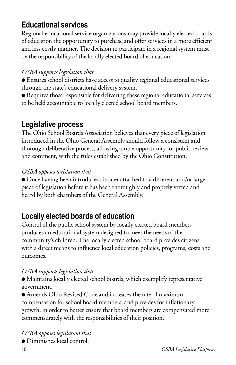### **Educational services**

Regional educational service organizations may provide locally elected boards of education the opportunity to purchase and offer services in a more efficient and less costly manner. The decision to participate in a regional system must be the responsibility of the locally elected board of education.

### *OSBA supports legislation that*

- Ensures school districts have access to quality regional educational services through the state's educational delivery system.
- Requires those responsible for delivering these regional educational services to be held accountable to locally elected school board members.

### **Legislative process**

The Ohio School Boards Association believes that every piece of legislation introduced in the Ohio General Assembly should follow a consistent and thorough deliberative process, allowing ample opportunity for public review and comment, with the rules established by the Ohio Constitution.

#### *OSBA opposes legislation that*

● Once having been introduced, is later attached to a different and/or larger piece of legislation before it has been thoroughly and properly vetted and heard by both chambers of the General Assembly.

### **Locally elected boards of education**

Control of the public school system by locally elected board members produces an educational system designed to meet the needs of the community's children. The locally elected school board provides citizens with a direct means to influence local education policies, programs, costs and outcomes.

#### *OSBA supports legislation that*

● Maintains locally elected school boards, which exemplify representative government.

● Amends Ohio Revised Code and increases the rate of maximum compensation for school board members, and provides for inflationary growth, in order to better ensure that board members are compensated more commensurately with the responsibilities of their position.

*OSBA opposes legislation that* ● Diminishes local control.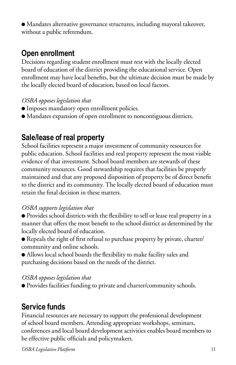● Mandates alternative governance structures, including mayoral takeover, without a public referendum.

### **Open enrollment**

Decisions regarding student enrollment must rest with the locally elected board of education of the district providing the educational service. Open enrollment may have local benefits, but the ultimate decision must be made by the locally elected board of education, based on local factors.

### *OSBA opposes legislation that*

- Imposes mandatory open enrollment policies.
- Mandates expansion of open enrollment to noncontiguous districts.

### **Sale/lease of real property**

School facilities represent a major investment of community resources for public education. School facilities and real property represent the most visible evidence of that investment. School board members are stewards of these community resources. Good stewardship requires that facilities be properly maintained and that any proposed disposition of property be of direct benefit to the district and its community. The locally elected board of education must retain the final decision in these matters.

### *OSBA supports legislation that*

● Provides school districts with the flexibility to sell or lease real property in a manner that offers the most benefit to the school district as determined by the locally elected board of education.

- Repeals the right of first refusal to purchase property by private, charter/ community and online schools.
- Allows local school boards the flexibility to make facility sales and purchasing decisions based on the needs of the district.

### *OSBA opposes legislation that*

● Provides facilities funding to private and charter/community schools.

### **Service funds**

Financial resources are necessary to support the professional development of school board members. Attending appropriate workshops, seminars, conferences and local board development activities enables board members to be effective public officials and policymakers.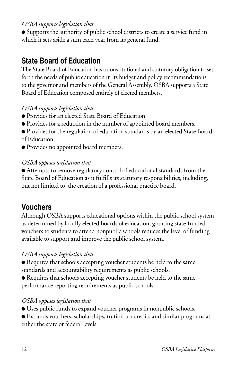#### *OSBA supports legislation that*

● Supports the authority of public school districts to create a service fund in which it sets aside a sum each year from its general fund.

### **State Board of Education**

The State Board of Education has a constitutional and statutory obligation to set forth the needs of public education in its budget and policy recommendations to the governor and members of the General Assembly. OSBA supports a State Board of Education composed entirely of elected members.

#### *OSBA supports legislation that*

- Provides for an elected State Board of Education.
- Provides for a reduction in the number of appointed board members.

● Provides for the regulation of education standards by an elected State Board of Education.

● Provides no appointed board members.

#### *OSBA opposes legislation that*

● Attempts to remove regulatory control of educational standards from the State Board of Education as it fulfills its statutory responsibilities, including, but not limited to, the creation of a professional practice board.

### **Vouchers**

Although OSBA supports educational options within the public school system as determined by locally elected boards of education, granting state-funded vouchers to students to attend nonpublic schools reduces the level of funding available to support and improve the public school system.

#### *OSBA supports legislation that*

● Requires that schools accepting voucher students be held to the same standards and accountability requirements as public schools.

● Requires that schools accepting voucher students be held to the same performance reporting requirements as public schools.

#### *OSBA opposes legislation that*

- Uses public funds to expand voucher programs in nonpublic schools.
- Expands vouchers, scholarships, tuition tax credits and similar programs at either the state or federal levels.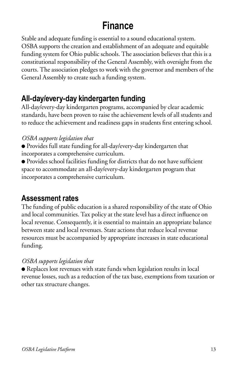## **Finance**

Stable and adequate funding is essential to a sound educational system. OSBA supports the creation and establishment of an adequate and equitable funding system for Ohio public schools. The association believes that this is a constitutional responsibility of the General Assembly, with oversight from the courts. The association pledges to work with the governor and members of the General Assembly to create such a funding system.

### **All-day/every-day kindergarten funding**

All-day/every-day kindergarten programs, accompanied by clear academic standards, have been proven to raise the achievement levels of all students and to reduce the achievement and readiness gaps in students first entering school.

### *OSBA supports legislation that*

- Provides full state funding for all-day/every-day kindergarten that incorporates a comprehensive curriculum.
- Provides school facilities funding for districts that do not have sufficient space to accommodate an all-day/every-day kindergarten program that incorporates a comprehensive curriculum.

### **Assessment rates**

The funding of public education is a shared responsibility of the state of Ohio and local communities. Tax policy at the state level has a direct influence on local revenue. Consequently, it is essential to maintain an appropriate balance between state and local revenues. State actions that reduce local revenue resources must be accompanied by appropriate increases in state educational funding.

#### *OSBA supports legislation that*

● Replaces lost revenues with state funds when legislation results in local revenue losses, such as a reduction of the tax base, exemptions from taxation or other tax structure changes.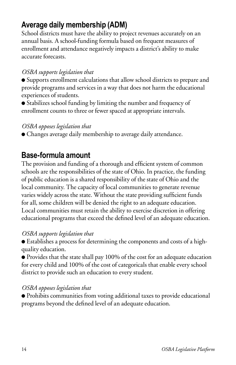### **Average daily membership (ADM)**

School districts must have the ability to project revenues accurately on an annual basis. A school-funding formula based on frequent measures of enrollment and attendance negatively impacts a district's ability to make accurate forecasts.

#### *OSBA supports legislation that*

● Supports enrollment calculations that allow school districts to prepare and provide programs and services in a way that does not harm the educational experiences of students.

● Stabilizes school funding by limiting the number and frequency of enrollment counts to three or fewer spaced at appropriate intervals.

#### *OSBA opposes legislation that*

● Changes average daily membership to average daily attendance.

### **Base-formula amount**

The provision and funding of a thorough and efficient system of common schools are the responsibilities of the state of Ohio. In practice, the funding of public education is a shared responsibility of the state of Ohio and the local community. The capacity of local communities to generate revenue varies widely across the state. Without the state providing sufficient funds for all, some children will be denied the right to an adequate education. Local communities must retain the ability to exercise discretion in offering educational programs that exceed the defined level of an adequate education.

#### *OSBA supports legislation that*

● Establishes a process for determining the components and costs of a highquality education.

● Provides that the state shall pay 100% of the cost for an adequate education for every child and 100% of the cost of categoricals that enable every school district to provide such an education to every student.

#### *OSBA opposes legislation that*

● Prohibits communities from voting additional taxes to provide educational programs beyond the defined level of an adequate education.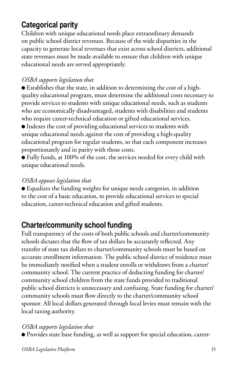### **Categorical parity**

Children with unique educational needs place extraordinary demands on public school district revenues. Because of the wide disparities in the capacity to generate local revenues that exist across school districts, additional state revenues must be made available to ensure that children with unique educational needs are served appropriately.

#### *OSBA supports legislation that*

● Establishes that the state, in addition to determining the cost of a highquality educational program, must determine the additional costs necessary to provide services to students with unique educational needs, such as students who are economically disadvantaged, students with disabilities and students who require career-technical education or gifted educational services.

● Indexes the cost of providing educational services to students with unique educational needs against the cost of providing a high-quality educational program for regular students, so that each component increases proportionately and in parity with those costs.

● Fully funds, at 100% of the cost, the services needed for every child with unique educational needs.

### *OSBA opposes legislation that*

● Equalizes the funding weights for unique needs categories, in addition to the cost of a basic education, to provide educational services to special education, career-technical education and gifted students.

### **Charter/community school funding**

Full transparency of the costs of both public schools and charter/community schools dictates that the flow of tax dollars be accurately reflected. Any transfer of state tax dollars to charter/community schools must be based on accurate enrollment information. The public school district of residence must be immediately notified when a student enrolls or withdraws from a charter/ community school. The current practice of deducting funding for charter/ community school children from the state funds provided to traditional public school districts is unnecessary and confusing. State funding for charter/ community schools must flow directly to the charter/community school sponsor. All local dollars generated through local levies must remain with the local taxing authority.

#### *OSBA supports legislation that*

● Provides state base funding, as well as support for special education, career-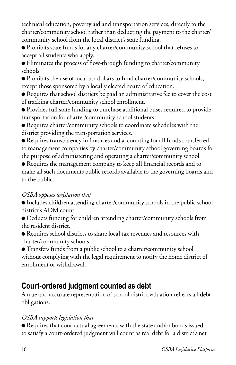technical education, poverty aid and transportation services, directly to the charter/community school rather than deducting the payment to the charter/ community school from the local district's state funding.

● Prohibits state funds for any charter/community school that refuses to accept all students who apply.

● Eliminates the process of flow-through funding to charter/community schools.

● Prohibits the use of local tax dollars to fund charter/community schools, except those sponsored by a locally elected board of education.

● Requires that school districts be paid an administrative fee to cover the cost of tracking charter/community school enrollment.

- Provides full state funding to purchase additional buses required to provide transportation for charter/community school students.
- Requires charter/community schools to coordinate schedules with the district providing the transportation services.

● Requires transparency in finances and accounting for all funds transferred to management companies by charter/community school governing boards for the purpose of administering and operating a charter/community school.

● Requires the management company to keep all financial records and to make all such documents public records available to the governing boards and to the public.

#### *OSBA opposes legislation that*

● Includes children attending charter/community schools in the public school district's ADM count.

- Deducts funding for children attending charter/community schools from the resident district.
- Requires school districts to share local tax revenues and resources with charter/community schools.

● Transfers funds from a public school to a charter/community school without complying with the legal requirement to notify the home district of enrollment or withdrawal.

### **Court-ordered judgment counted as debt**

A true and accurate representation of school district valuation reflects all debt obligations.

### *OSBA supports legislation that*

● Requires that contractual agreements with the state and/or bonds issued to satisfy a court-ordered judgment will count as real debt for a district's net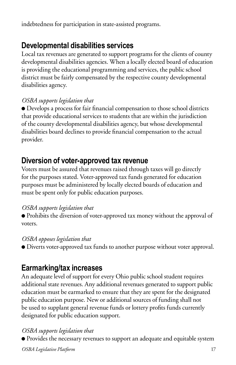indebtedness for participation in state-assisted programs.

### **Developmental disabilities services**

Local tax revenues are generated to support programs for the clients of county developmental disabilities agencies. When a locally elected board of education is providing the educational programming and services, the public school district must be fairly compensated by the respective county developmental disabilities agency.

#### *OSBA supports legislation that*

● Develops a process for fair financial compensation to those school districts that provide educational services to students that are within the jurisdiction of the county developmental disabilities agency, but whose developmental disabilities board declines to provide financial compensation to the actual provider.

### **Diversion of voter-approved tax revenue**

Voters must be assured that revenues raised through taxes will go directly for the purposes stated. Voter-approved tax funds generated for education purposes must be administered by locally elected boards of education and must be spent only for public education purposes.

#### *OSBA supports legislation that*

● Prohibits the diversion of voter-approved tax money without the approval of voters.

#### *OSBA opposes legislation that*

● Diverts voter-approved tax funds to another purpose without voter approval.

### **Earmarking/tax increases**

An adequate level of support for every Ohio public school student requires additional state revenues. Any additional revenues generated to support public education must be earmarked to ensure that they are spent for the designated public education purpose. New or additional sources of funding shall not be used to supplant general revenue funds or lottery profits funds currently designated for public education support.

#### *OSBA supports legislation that*

● Provides the necessary revenues to support an adequate and equitable system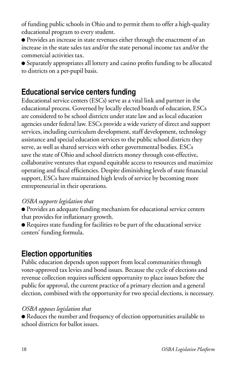of funding public schools in Ohio and to permit them to offer a high-quality educational program to every student.

● Provides an increase in state revenues either through the enactment of an increase in the state sales tax and/or the state personal income tax and/or the commercial activities tax.

● Separately appropriates all lottery and casino profits funding to be allocated to districts on a per-pupil basis.

### **Educational service centers funding**

Educational service centers (ESCs) serve as a vital link and partner in the educational process. Governed by locally elected boards of education, ESCs are considered to be school districts under state law and as local education agencies under federal law. ESCs provide a wide variety of direct and support services, including curriculum development, staff development, technology assistance and special education services to the public school districts they serve, as well as shared services with other governmental bodies. ESCs save the state of Ohio and school districts money through cost-effective, collaborative ventures that expand equitable access to resources and maximize operating and fiscal efficiencies. Despite diminishing levels of state financial support, ESCs have maintained high levels of service by becoming more entrepreneurial in their operations.

### *OSBA supports legislation that*

- Provides an adequate funding mechanism for educational service centers that provides for inflationary growth.
- Requires state funding for facilities to be part of the educational service centers' funding formula.

### **Election opportunities**

Public education depends upon support from local communities through voter-approved tax levies and bond issues. Because the cycle of elections and revenue collection requires sufficient opportunity to place issues before the public for approval, the current practice of a primary election and a general election, combined with the opportunity for two special elections, is necessary.

#### *OSBA opposes legislation that*

● Reduces the number and frequency of election opportunities available to school districts for ballot issues.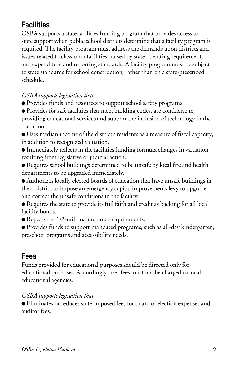### **Facilities**

OSBA supports a state facilities funding program that provides access to state support when public school districts determine that a facility program is required. The facility program must address the demands upon districts and issues related to classroom facilities caused by state operating requirements and expenditure and reporting standards. A facility program must be subject to state standards for school construction, rather than on a state-prescribed schedule.

### *OSBA supports legislation that*

- Provides funds and resources to support school safety programs.
- Provides for safe facilities that meet building codes, are conducive to providing educational services and support the inclusion of technology in the classroom.

● Uses median income of the district's residents as a measure of fiscal capacity, in addition to recognized valuation.

● Immediately reflects in the facilities funding formula changes in valuation resulting from legislative or judicial action.

● Requires school buildings determined to be unsafe by local fire and health departments to be upgraded immediately.

● Authorizes locally elected boards of education that have unsafe buildings in their district to impose an emergency capital improvements levy to upgrade and correct the unsafe conditions in the facility.

● Requires the state to provide its full faith and credit as backing for all local facility bonds.

● Repeals the 1/2-mill maintenance requirements.

● Provides funds to support mandated programs, such as all-day kindergarten, preschool programs and accessibility needs.

### **Fees**

Funds provided for educational purposes should be directed only for educational purposes. Accordingly, user fees must not be charged to local educational agencies.

#### *OSBA supports legislation that*

● Eliminates or reduces state-imposed fees for board of election expenses and auditor fees.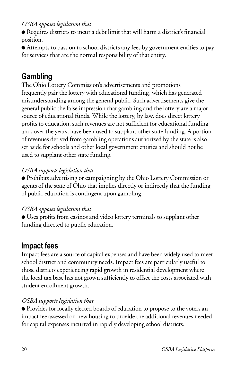● Requires districts to incur a debt limit that will harm a district's financial position.

● Attempts to pass on to school districts any fees by government entities to pay for services that are the normal responsibility of that entity.

### **Gambling**

The Ohio Lottery Commission's advertisements and promotions frequently pair the lottery with educational funding, which has generated misunderstanding among the general public. Such advertisements give the general public the false impression that gambling and the lottery are a major source of educational funds. While the lottery, by law, does direct lottery profits to education, such revenues are not sufficient for educational funding and, over the years, have been used to supplant other state funding. A portion of revenues derived from gambling operations authorized by the state is also set aside for schools and other local government entities and should not be used to supplant other state funding.

### *OSBA supports legislation that*

● Prohibits advertising or campaigning by the Ohio Lottery Commission or agents of the state of Ohio that implies directly or indirectly that the funding of public education is contingent upon gambling.

#### *OSBA opposes legislation that*

● Uses profits from casinos and video lottery terminals to supplant other funding directed to public education.

### **Impact fees**

Impact fees are a source of capital expenses and have been widely used to meet school district and community needs. Impact fees are particularly useful to those districts experiencing rapid growth in residential development where the local tax base has not grown sufficiently to offset the costs associated with student enrollment growth.

### *OSBA supports legislation that*

● Provides for locally elected boards of education to propose to the voters an impact fee assessed on new housing to provide the additional revenues needed for capital expenses incurred in rapidly developing school districts.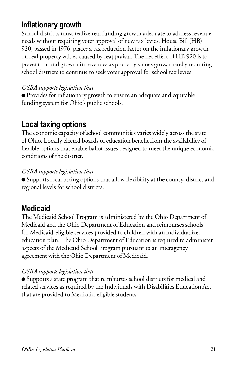### **Inflationary growth**

School districts must realize real funding growth adequate to address revenue needs without requiring voter approval of new tax levies. House Bill (HB) 920, passed in 1976, places a tax reduction factor on the inflationary growth on real property values caused by reappraisal. The net effect of HB 920 is to prevent natural growth in revenues as property values grow, thereby requiring school districts to continue to seek voter approval for school tax levies.

### *OSBA supports legislation that*

● Provides for inflationary growth to ensure an adequate and equitable funding system for Ohio's public schools.

### **Local taxing options**

The economic capacity of school communities varies widely across the state of Ohio. Locally elected boards of education benefit from the availability of flexible options that enable ballot issues designed to meet the unique economic conditions of the district.

#### *OSBA supports legislation that*

● Supports local taxing options that allow flexibility at the county, district and regional levels for school districts.

### **Medicaid**

The Medicaid School Program is administered by the Ohio Department of Medicaid and the Ohio Department of Education and reimburses schools for Medicaid-eligible services provided to children with an individualized education plan. The Ohio Department of Education is required to administer aspects of the Medicaid School Program pursuant to an interagency agreement with the Ohio Department of Medicaid.

#### *OSBA supports legislation that*

● Supports a state program that reimburses school districts for medical and related services as required by the Individuals with Disabilities Education Act that are provided to Medicaid-eligible students.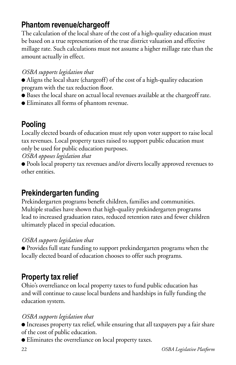### **Phantom revenue/chargeoff**

The calculation of the local share of the cost of a high-quality education must be based on a true representation of the true district valuation and effective millage rate. Such calculations must not assume a higher millage rate than the amount actually in effect.

#### *OSBA supports legislation that*

- Aligns the local share (chargeoff) of the cost of a high-quality education program with the tax reduction floor.
- Bases the local share on actual local revenues available at the chargeoff rate.
- Eliminates all forms of phantom revenue.

### **Pooling**

Locally elected boards of education must rely upon voter support to raise local tax revenues. Local property taxes raised to support public education must only be used for public education purposes.

*OSBA opposes legislation that*

● Pools local property tax revenues and/or diverts locally approved revenues to other entities.

### **Prekindergarten funding**

Prekindergarten programs benefit children, families and communities. Multiple studies have shown that high-quality prekindergarten programs lead to increased graduation rates, reduced retention rates and fewer children ultimately placed in special education.

#### *OSBA supports legislation that*

● Provides full state funding to support prekindergarten programs when the locally elected board of education chooses to offer such programs.

### **Property tax relief**

Ohio's overreliance on local property taxes to fund public education has and will continue to cause local burdens and hardships in fully funding the education system.

#### *OSBA supports legislation that*

● Increases property tax relief, while ensuring that all taxpayers pay a fair share of the cost of public education.

● Eliminates the overreliance on local property taxes.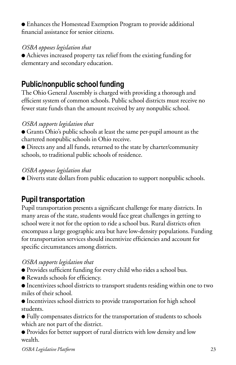● Enhances the Homestead Exemption Program to provide additional financial assistance for senior citizens.

#### *OSBA opposes legislation that*

● Achieves increased property tax relief from the existing funding for elementary and secondary education.

### **Public/nonpublic school funding**

The Ohio General Assembly is charged with providing a thorough and efficient system of common schools. Public school districts must receive no fewer state funds than the amount received by any nonpublic school.

### *OSBA supports legislation that*

● Grants Ohio's public schools at least the same per-pupil amount as the chartered nonpublic schools in Ohio receive.

● Directs any and all funds, returned to the state by charter/community schools, to traditional public schools of residence.

#### *OSBA opposes legislation that*

● Diverts state dollars from public education to support nonpublic schools.

### **Pupil transportation**

Pupil transportation presents a significant challenge for many districts. In many areas of the state, students would face great challenges in getting to school were it not for the option to ride a school bus. Rural districts often encompass a large geographic area but have low-density populations. Funding for transportation services should incentivize efficiencies and account for specific circumstances among districts.

### *OSBA supports legislation that*

- Provides sufficient funding for every child who rides a school bus.
- Rewards schools for efficiency.
- Incentivizes school districts to transport students residing within one to two miles of their school.

● Incentivizes school districts to provide transportation for high school students.

● Fully compensates districts for the transportation of students to schools which are not part of the district.

● Provides for better support of rural districts with low density and low wealth.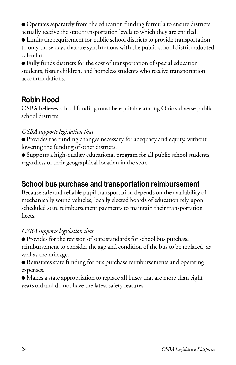● Operates separately from the education funding formula to ensure districts actually receive the state transportation levels to which they are entitled.

● Limits the requirement for public school districts to provide transportation to only those days that are synchronous with the public school district adopted calendar.

● Fully funds districts for the cost of transportation of special education students, foster children, and homeless students who receive transportation accommodations.

### **Robin Hood**

OSBA believes school funding must be equitable among Ohio's diverse public school districts.

#### *OSBA supports legislation that*

● Provides the funding changes necessary for adequacy and equity, without lowering the funding of other districts.

● Supports a high-quality educational program for all public school students, regardless of their geographical location in the state.

### **School bus purchase and transportation reimbursement**

Because safe and reliable pupil transportation depends on the availability of mechanically sound vehicles, locally elected boards of education rely upon scheduled state reimbursement payments to maintain their transportation fleets.

#### *OSBA supports legislation that*

● Provides for the revision of state standards for school bus purchase reimbursement to consider the age and condition of the bus to be replaced, as well as the mileage.

● Reinstates state funding for bus purchase reimbursements and operating expenses.

● Makes a state appropriation to replace all buses that are more than eight years old and do not have the latest safety features.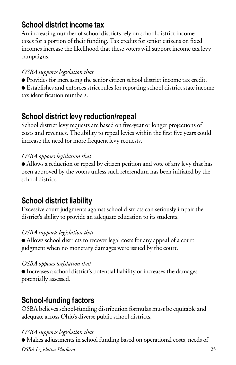### **School district income tax**

An increasing number of school districts rely on school district income taxes for a portion of their funding. Tax credits for senior citizens on fixed incomes increase the likelihood that these voters will support income tax levy campaigns.

### *OSBA supports legislation that*

● Provides for increasing the senior citizen school district income tax credit.

● Establishes and enforces strict rules for reporting school district state income tax identification numbers.

### **School district levy reduction/repeal**

School district levy requests are based on five-year or longer projections of costs and revenues. The ability to repeal levies within the first five years could increase the need for more frequent levy requests.

#### *OSBA opposes legislation that*

● Allows a reduction or repeal by citizen petition and vote of any levy that has been approved by the voters unless such referendum has been initiated by the school district.

### **School district liability**

Excessive court judgments against school districts can seriously impair the district's ability to provide an adequate education to its students.

#### *OSBA supports legislation that*

● Allows school districts to recover legal costs for any appeal of a court judgment when no monetary damages were issued by the court.

#### *OSBA opposes legislation that*

● Increases a school district's potential liability or increases the damages potentially assessed.

### **School-funding factors**

OSBA believes school-funding distribution formulas must be equitable and adequate across Ohio's diverse public school districts.

#### *OSBA supports legislation that*

*OSBA Legislative Platform* 25 ● Makes adjustments in school funding based on operational costs, needs of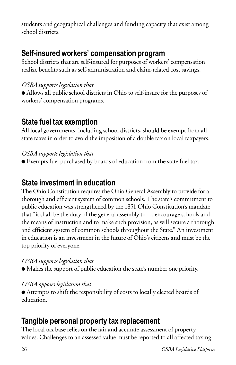students and geographical challenges and funding capacity that exist among school districts.

### **Self-insured workers' compensation program**

School districts that are self-insured for purposes of workers' compensation realize benefits such as self-administration and claim-related cost savings.

#### *OSBA supports legislation that*

● Allows all public school districts in Ohio to self-insure for the purposes of workers' compensation programs.

### **State fuel tax exemption**

All local governments, including school districts, should be exempt from all state taxes in order to avoid the imposition of a double tax on local taxpayers.

#### *OSBA supports legislation that*

● Exempts fuel purchased by boards of education from the state fuel tax.

### **State investment in education**

The Ohio Constitution requires the Ohio General Assembly to provide for a thorough and efficient system of common schools. The state's commitment to public education was strengthened by the 1851 Ohio Constitution's mandate that "it shall be the duty of the general assembly to … encourage schools and the means of instruction and to make such provision, as will secure a thorough and efficient system of common schools throughout the State." An investment in education is an investment in the future of Ohio's citizens and must be the top priority of everyone.

#### *OSBA supports legislation that*

● Makes the support of public education the state's number one priority.

#### *OSBA opposes legislation that*

● Attempts to shift the responsibility of costs to locally elected boards of education.

### **Tangible personal property tax replacement**

The local tax base relies on the fair and accurate assessment of property values. Challenges to an assessed value must be reported to all affected taxing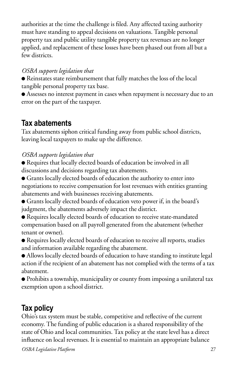authorities at the time the challenge is filed. Any affected taxing authority must have standing to appeal decisions on valuations. Tangible personal property tax and public utility tangible property tax revenues are no longer applied, and replacement of these losses have been phased out from all but a few districts.

### *OSBA supports legislation that*

● Reinstates state reimbursement that fully matches the loss of the local tangible personal property tax base.

● Assesses no interest payment in cases when repayment is necessary due to an error on the part of the taxpayer.

### **Tax abatements**

Tax abatements siphon critical funding away from public school districts, leaving local taxpayers to make up the difference.

### *OSBA supports legislation that*

● Requires that locally elected boards of education be involved in all discussions and decisions regarding tax abatements.

● Grants locally elected boards of education the authority to enter into negotiations to receive compensation for lost revenues with entities granting abatements and with businesses receiving abatements.

● Grants locally elected boards of education veto power if, in the board's judgment, the abatements adversely impact the district.

- Requires locally elected boards of education to receive state-mandated compensation based on all payroll generated from the abatement (whether tenant or owner).
- Requires locally elected boards of education to receive all reports, studies and information available regarding the abatement.

● Allows locally elected boards of education to have standing to institute legal action if the recipient of an abatement has not complied with the terms of a tax abatement.

● Prohibits a township, municipality or county from imposing a unilateral tax exemption upon a school district.

### **Tax policy**

Ohio's tax system must be stable, competitive and reflective of the current economy. The funding of public education is a shared responsibility of the state of Ohio and local communities. Tax policy at the state level has a direct influence on local revenues. It is essential to maintain an appropriate balance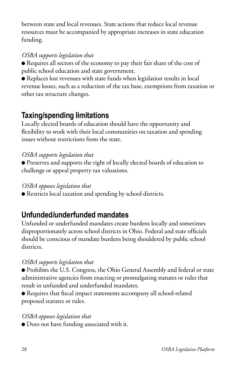between state and local revenues. State actions that reduce local revenue resources must be accompanied by appropriate increases in state education funding.

### *OSBA supports legislation that*

● Requires all sectors of the economy to pay their fair share of the cost of public school education and state government.

● Replaces lost revenues with state funds when legislation results in local revenue losses, such as a reduction of the tax base, exemptions from taxation or other tax structure changes.

### **Taxing/spending limitations**

Locally elected boards of education should have the opportunity and flexibility to work with their local communities on taxation and spending issues without restrictions from the state.

#### *OSBA supports legislation that*

● Preserves and supports the right of locally elected boards of education to challenge or appeal property tax valuations.

#### *OSBA opposes legislation that*

● Restricts local taxation and spending by school districts.

### **Unfunded/underfunded mandates**

Unfunded or underfunded mandates create burdens locally and sometimes disproportionately across school districts in Ohio. Federal and state officials should be conscious of mandate burdens being shouldered by public school districts.

#### *OSBA supports legislation that*

● Prohibits the U.S. Congress, the Ohio General Assembly and federal or state administrative agencies from enacting or promulgating statutes or rules that result in unfunded and underfunded mandates.

● Requires that fiscal impact statements accompany all school-related proposed statutes or rules.

#### *OSBA opposes legislation that*

● Does not have funding associated with it.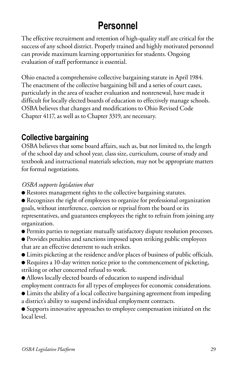# **Personnel**

The effective recruitment and retention of high-quality staff are critical for the success of any school district. Properly trained and highly motivated personnel can provide maximum learning opportunities for students. Ongoing evaluation of staff performance is essential.

Ohio enacted a comprehensive collective bargaining statute in April 1984. The enactment of the collective bargaining bill and a series of court cases, particularly in the area of teacher evaluation and nonrenewal, have made it difficult for locally elected boards of education to effectively manage schools. OSBA believes that changes and modifications to Ohio Revised Code Chapter 4117, as well as to Chapter 3319, are necessary.

### **Collective bargaining**

OSBA believes that some board affairs, such as, but not limited to, the length of the school day and school year, class size, curriculum, course of study and textbook and instructional materials selection, may not be appropriate matters for formal negotiations.

### *OSBA supports legislation that*

- Restores management rights to the collective bargaining statutes.
- Recognizes the right of employees to organize for professional organization goals, without interference, coercion or reprisal from the board or its representatives, and guarantees employees the right to refrain from joining any organization.
- Permits parties to negotiate mutually satisfactory dispute resolution processes.
- Provides penalties and sanctions imposed upon striking public employees that are an effective deterrent to such strikes.
- Limits picketing at the residence and/or places of business of public officials.
- Requires a 10-day written notice prior to the commencement of picketing, striking or other concerted refusal to work.
- Allows locally elected boards of education to suspend individual employment contracts for all types of employees for economic considerations.
- Limits the ability of a local collective bargaining agreement from impeding a district's ability to suspend individual employment contracts.

● Supports innovative approaches to employee compensation initiated on the local level.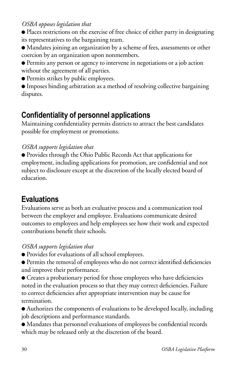● Places restrictions on the exercise of free choice of either party in designating its representatives to the bargaining team.

● Mandates joining an organization by a scheme of fees, assessments or other coercion by an organization upon nonmembers.

- Permits any person or agency to intervene in negotiations or a job action without the agreement of all parties.
- Permits strikes by public employees.

● Imposes binding arbitration as a method of resolving collective bargaining disputes.

### **Confidentiality of personnel applications**

Maintaining confidentiality permits districts to attract the best candidates possible for employment or promotions.

#### *OSBA supports legislation that*

● Provides through the Ohio Public Records Act that applications for employment, including applications for promotion, are confidential and not subject to disclosure except at the discretion of the locally elected board of education.

### **Evaluations**

Evaluations serve as both an evaluative process and a communication tool between the employer and employee. Evaluations communicate desired outcomes to employees and help employees see how their work and expected contributions benefit their schools.

#### *OSBA supports legislation that*

● Provides for evaluations of all school employees.

● Permits the removal of employees who do not correct identified deficiencies and improve their performance.

● Creates a probationary period for those employees who have deficiencies noted in the evaluation process so that they may correct deficiencies. Failure to correct deficiencies after appropriate intervention may be cause for termination.

● Authorizes the components of evaluations to be developed locally, including job descriptions and performance standards.

● Mandates that personnel evaluations of employees be confidential records which may be released only at the discretion of the board.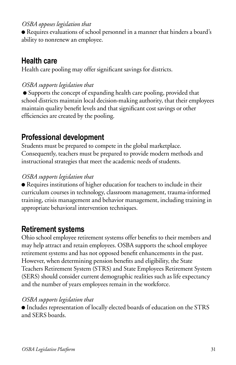● Requires evaluations of school personnel in a manner that hinders a board's ability to nonrenew an employee.

### **Health care**

Health care pooling may offer significant savings for districts.

#### *OSBA supports legislation that*

● Supports the concept of expanding health care pooling, provided that school districts maintain local decision-making authority, that their employees maintain quality benefit levels and that significant cost savings or other efficiencies are created by the pooling.

### **Professional development**

Students must be prepared to compete in the global marketplace. Consequently, teachers must be prepared to provide modern methods and instructional strategies that meet the academic needs of students.

#### *OSBA supports legislation that*

● Requires institutions of higher education for teachers to include in their curriculum courses in technology, classroom management, trauma-informed training, crisis management and behavior management, including training in appropriate behavioral intervention techniques.

### **Retirement systems**

Ohio school employee retirement systems offer benefits to their members and may help attract and retain employees. OSBA supports the school employee retirement systems and has not opposed benefit enhancements in the past. However, when determining pension benefits and eligibility, the State Teachers Retirement System (STRS) and State Employees Retirement System (SERS) should consider current demographic realities such as life expectancy and the number of years employees remain in the workforce.

#### *OSBA supports legislation that*

● Includes representation of locally elected boards of education on the STRS and SERS boards.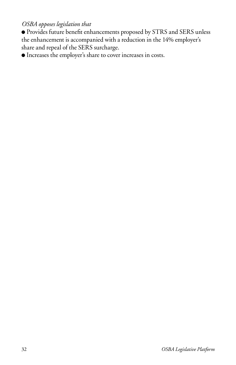● Provides future benefit enhancements proposed by STRS and SERS unless the enhancement is accompanied with a reduction in the 14% employer's share and repeal of the SERS surcharge.

● Increases the employer's share to cover increases in costs.